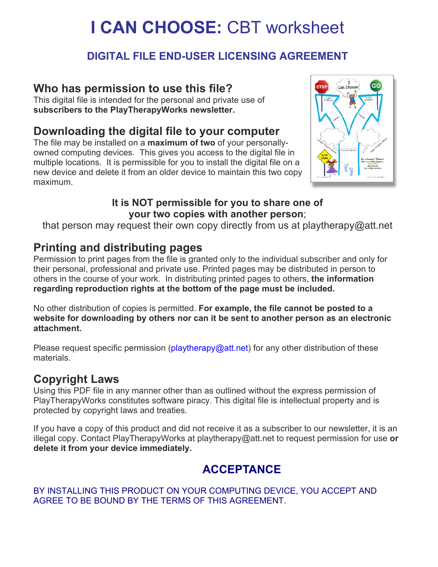# **I CAN CHOOSE:** CBT worksheet

# **DIGITAL FILE END-USER LICENSING AGREEMENT**

# **Who has permission to use this file?**

This digital file is intended for the personal and private use of **subscribers to the PlayTherapyWorks newsletter.**

# **Downloading the digital file to your computer**

The file may be installed on a **maximum of two** of your personallyowned computing devices. This gives you access to the digital file in multiple locations. It is permissible for you to install the digital file on a new device and delete it from an older device to maintain this two copy maximum.



### **It is NOT permissible for you to share one of your two copies with another person**;

that person may request their own copy directly from us at playtherapy@att.net

# **Printing and distributing pages**

Permission to print pages from the file is granted only to the individual subscriber and only for their personal, professional and private use. Printed pages may be distributed in person to others in the course of your work. In distributing printed pages to others, **the information regarding reproduction rights at the bottom of the page must be included.**

No other distribution of copies is permitted. **For example, the file cannot be posted to a website for downloading by others nor can it be sent to another person as an electronic attachment.**

Please request specific permission (playtherapy@att.net) for any other distribution of these materials.

# **Copyright Laws**

Using this PDF file in any manner other than as outlined without the express permission of PlayTherapyWorks constitutes software piracy. This digital file is intellectual property and is protected by copyright laws and treaties.

If you have a copy of this product and did not receive it as a subscriber to our newsletter, it is an illegal copy. Contact PlayTherapyWorks at playtherapy@att.net to request permission for use **or delete it from your device immediately.**

# **ACCEPTANCE**

BY INSTALLING THIS PRODUCT ON YOUR COMPUTING DEVICE, YOU ACCEPT AND AGREE TO BE BOUND BY THE TERMS OF THIS AGREEMENT.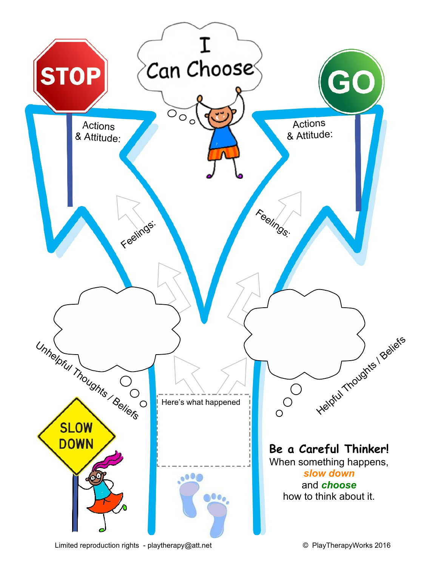